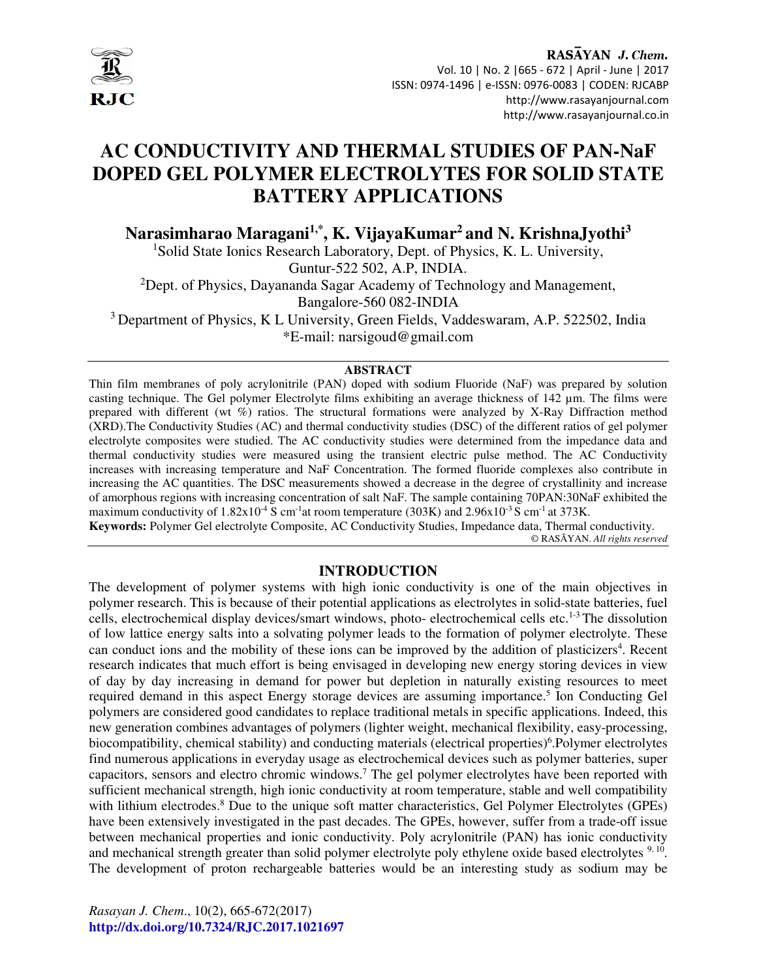

# **AC CONDUCTIVITY AND THERMAL STUDIES OF PAN-NaF DOPED GEL POLYMER ELECTROLYTES FOR SOLID STATE BATTERY APPLICATIONS**

**Narasimharao Maragani1,\*, K. VijayaKumar<sup>2</sup>and N. KrishnaJyothi<sup>3</sup>**

<sup>1</sup>Solid State Ionics Research Laboratory, Dept. of Physics, K. L. University, Guntur-522 502, A.P, INDIA. <sup>2</sup>Dept. of Physics, Dayananda Sagar Academy of Technology and Management, Bangalore-560 082-INDIA <sup>3</sup> Department of Physics, K L University, Green Fields, Vaddeswaram, A.P. 522502, India

\*E-mail: narsigoud@gmail.com

#### **ABSTRACT**

Thin film membranes of poly acrylonitrile (PAN) doped with sodium Fluoride (NaF) was prepared by solution casting technique. The Gel polymer Electrolyte films exhibiting an average thickness of 142 µm. The films were prepared with different (wt %) ratios. The structural formations were analyzed by X-Ray Diffraction method (XRD).The Conductivity Studies (AC) and thermal conductivity studies (DSC) of the different ratios of gel polymer electrolyte composites were studied. The AC conductivity studies were determined from the impedance data and thermal conductivity studies were measured using the transient electric pulse method. The AC Conductivity increases with increasing temperature and NaF Concentration. The formed fluoride complexes also contribute in increasing the AC quantities. The DSC measurements showed a decrease in the degree of crystallinity and increase of amorphous regions with increasing concentration of salt NaF. The sample containing 70PAN:30NaF exhibited the maximum conductivity of  $1.82 \times 10^{-4}$  S cm<sup>-1</sup>at room temperature (303K) and 2.96 $\times 10^{-3}$  S cm<sup>-1</sup> at 373K.

**Keywords:** Polymer Gel electrolyte Composite, AC Conductivity Studies, Impedance data, Thermal conductivity. © RASĀYAN. *All rights reserved*

## **INTRODUCTION**

The development of polymer systems with high ionic conductivity is one of the main objectives in polymer research. This is because of their potential applications as electrolytes in solid-state batteries, fuel cells, electrochemical display devices/smart windows, photo- electrochemical cells etc.<sup>1-3</sup> The dissolution of low lattice energy salts into a solvating polymer leads to the formation of polymer electrolyte. These can conduct ions and the mobility of these ions can be improved by the addition of plasticizers<sup>4</sup>. Recent research indicates that much effort is being envisaged in developing new energy storing devices in view of day by day increasing in demand for power but depletion in naturally existing resources to meet required demand in this aspect Energy storage devices are assuming importance.<sup>5</sup> Ion Conducting Gel polymers are considered good candidates to replace traditional metals in specific applications. Indeed, this new generation combines advantages of polymers (lighter weight, mechanical flexibility, easy-processing, biocompatibility, chemical stability) and conducting materials (electrical properties)<sup>6</sup>. Polymer electrolytes find numerous applications in everyday usage as electrochemical devices such as polymer batteries, super capacitors, sensors and electro chromic windows.<sup>7</sup> The gel polymer electrolytes have been reported with sufficient mechanical strength, high ionic conductivity at room temperature, stable and well compatibility with lithium electrodes.<sup>8</sup> Due to the unique soft matter characteristics, Gel Polymer Electrolytes (GPEs) have been extensively investigated in the past decades. The GPEs, however, suffer from a trade-off issue between mechanical properties and ionic conductivity. Poly acrylonitrile (PAN) has ionic conductivity and mechanical strength greater than solid polymer electrolyte poly ethylene oxide based electrolytes <sup>9, 10</sup>. The development of proton rechargeable batteries would be an interesting study as sodium may be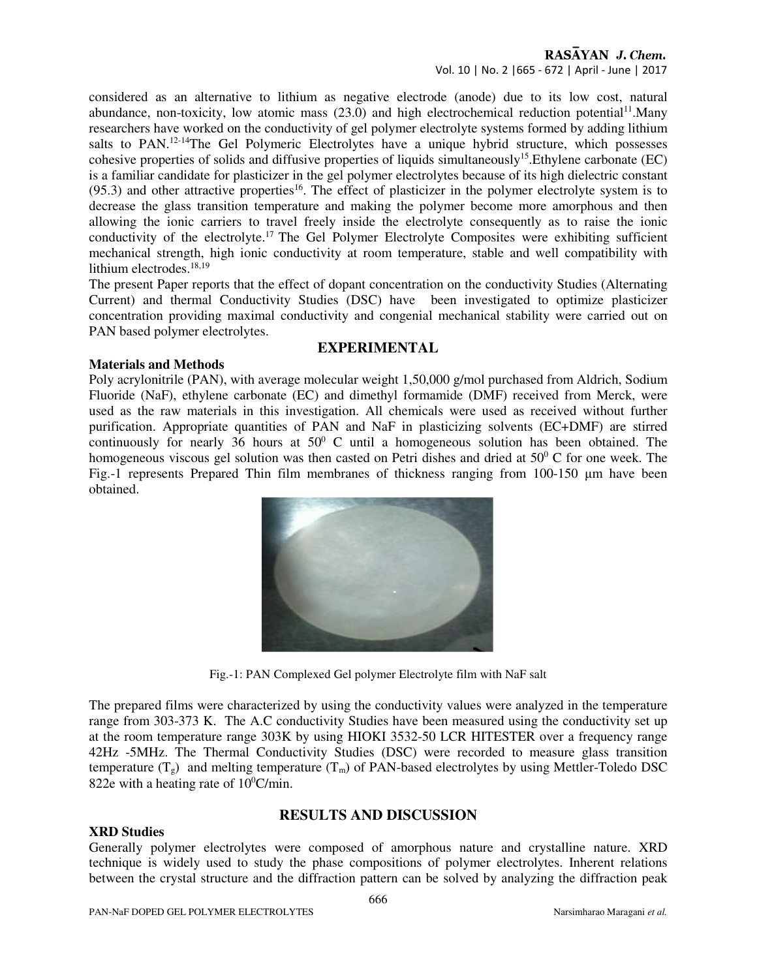considered as an alternative to lithium as negative electrode (anode) due to its low cost, natural abundance, non-toxicity, low atomic mass  $(23.0)$  and high electrochemical reduction potential<sup>11</sup>.Many researchers have worked on the conductivity of gel polymer electrolyte systems formed by adding lithium salts to PAN.<sup>12-14</sup>The Gel Polymeric Electrolytes have a unique hybrid structure, which possesses cohesive properties of solids and diffusive properties of liquids simultaneously<sup>15</sup>.Ethylene carbonate (EC) is a familiar candidate for plasticizer in the gel polymer electrolytes because of its high dielectric constant  $(95.3)$  and other attractive properties<sup>16</sup>. The effect of plasticizer in the polymer electrolyte system is to decrease the glass transition temperature and making the polymer become more amorphous and then allowing the ionic carriers to travel freely inside the electrolyte consequently as to raise the ionic conductivity of the electrolyte.<sup>17</sup> The Gel Polymer Electrolyte Composites were exhibiting sufficient mechanical strength, high ionic conductivity at room temperature, stable and well compatibility with lithium electrodes.<sup>18,19</sup>

The present Paper reports that the effect of dopant concentration on the conductivity Studies (Alternating Current) and thermal Conductivity Studies (DSC) have been investigated to optimize plasticizer concentration providing maximal conductivity and congenial mechanical stability were carried out on PAN based polymer electrolytes.

## **EXPERIMENTAL**

## **Materials and Methods**

Poly acrylonitrile (PAN), with average molecular weight 1,50,000 g/mol purchased from Aldrich, Sodium Fluoride (NaF), ethylene carbonate (EC) and dimethyl formamide (DMF) received from Merck, were used as the raw materials in this investigation. All chemicals were used as received without further purification. Appropriate quantities of PAN and NaF in plasticizing solvents (EC+DMF) are stirred continuously for nearly 36 hours at  $50^{\circ}$  C until a homogeneous solution has been obtained. The homogeneous viscous gel solution was then casted on Petri dishes and dried at  $50^{\circ}$  C for one week. The Fig.-1 represents Prepared Thin film membranes of thickness ranging from 100-150 µm have been obtained.



Fig.-1: PAN Complexed Gel polymer Electrolyte film with NaF salt

The prepared films were characterized by using the conductivity values were analyzed in the temperature range from 303-373 K. The A.C conductivity Studies have been measured using the conductivity set up at the room temperature range 303K by using HIOKI 3532-50 LCR HITESTER over a frequency range 42Hz -5MHz. The Thermal Conductivity Studies (DSC) were recorded to measure glass transition temperature  $(T_g)$  and melting temperature  $(T_m)$  of PAN-based electrolytes by using Mettler-Toledo DSC 822e with a heating rate of  $10^0$ C/min.

## **RESULTS AND DISCUSSION**

### **XRD Studies**

Generally polymer electrolytes were composed of amorphous nature and crystalline nature. XRD technique is widely used to study the phase compositions of polymer electrolytes. Inherent relations between the crystal structure and the diffraction pattern can be solved by analyzing the diffraction peak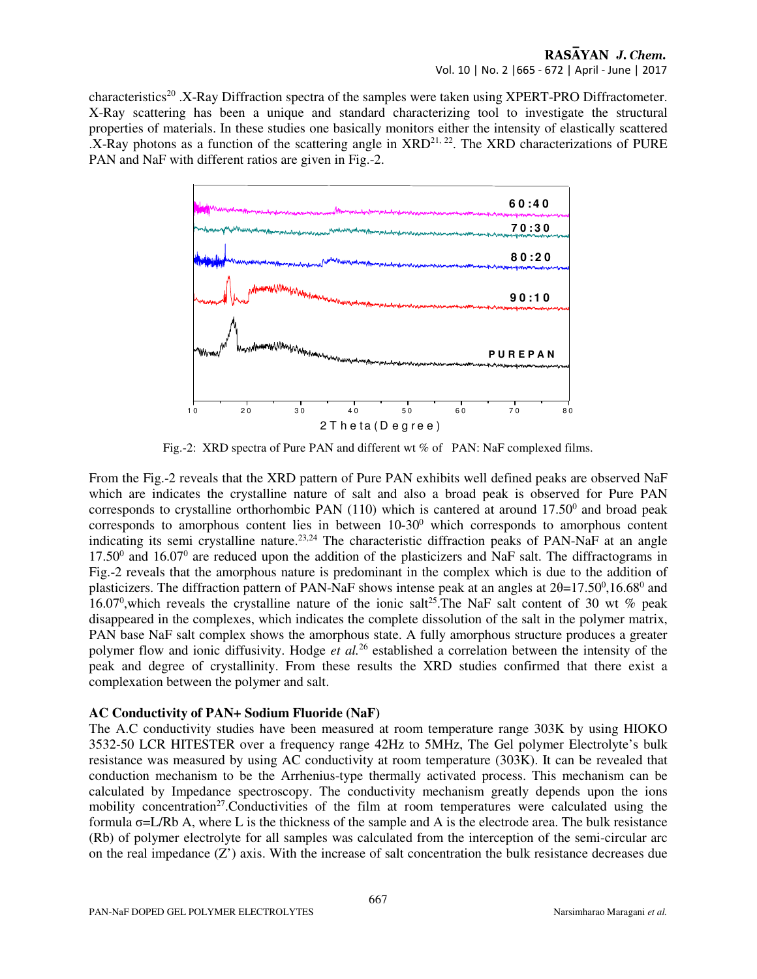characteristics<sup>20</sup> .X-Ray Diffraction spectra of the samples were taken using XPERT-PRO Diffractometer. X-Ray scattering has been a unique and standard characterizing tool to investigate the structural properties of materials. In these studies one basically monitors either the intensity of elastically scattered  $X-Ray$  photons as a function of the scattering angle in  $XRD^{21, 22}$ . The  $XRD$  characterizations of PURE PAN and NaF with different ratios are given in Fig.-2.



Fig.-2: XRD spectra of Pure PAN and different wt % of PAN: NaF complexed films.

From the Fig.-2 reveals that the XRD pattern of Pure PAN exhibits well defined peaks are observed NaF which are indicates the crystalline nature of salt and also a broad peak is observed for Pure PAN corresponds to crystalline orthorhombic PAN  $(110)$  which is cantered at around  $17.50^{\circ}$  and broad peak corresponds to amorphous content lies in between  $10-30<sup>0</sup>$  which corresponds to amorphous content indicating its semi crystalline nature.<sup>23,24</sup> The characteristic diffraction peaks of PAN-NaF at an angle  $17.50<sup>0</sup>$  and  $16.07<sup>0</sup>$  are reduced upon the addition of the plasticizers and NaF salt. The diffractograms in Fig.-2 reveals that the amorphous nature is predominant in the complex which is due to the addition of plasticizers. The diffraction pattern of PAN-NaF shows intense peak at an angles at  $2\theta = 17.50^{\circ}, 16.68^{\circ}$  and 16.07<sup>0</sup>, which reveals the crystalline nature of the ionic salt<sup>25</sup>. The NaF salt content of 30 wt % peak disappeared in the complexes, which indicates the complete dissolution of the salt in the polymer matrix, PAN base NaF salt complex shows the amorphous state. A fully amorphous structure produces a greater polymer flow and ionic diffusivity. Hodge *et al.*<sup>26</sup> established a correlation between the intensity of the peak and degree of crystallinity. From these results the XRD studies confirmed that there exist a complexation between the polymer and salt.

### **AC Conductivity of PAN+ Sodium Fluoride (NaF)**

The A.C conductivity studies have been measured at room temperature range 303K by using HIOKO 3532-50 LCR HITESTER over a frequency range 42Hz to 5MHz, The Gel polymer Electrolyte's bulk resistance was measured by using AC conductivity at room temperature (303K). It can be revealed that conduction mechanism to be the Arrhenius-type thermally activated process. This mechanism can be calculated by Impedance spectroscopy. The conductivity mechanism greatly depends upon the ions mobility concentration<sup>27</sup>. Conductivities of the film at room temperatures were calculated using the formula σ=L/Rb A, where L is the thickness of the sample and A is the electrode area. The bulk resistance (Rb) of polymer electrolyte for all samples was calculated from the interception of the semi-circular arc on the real impedance  $(Z')$  axis. With the increase of salt concentration the bulk resistance decreases due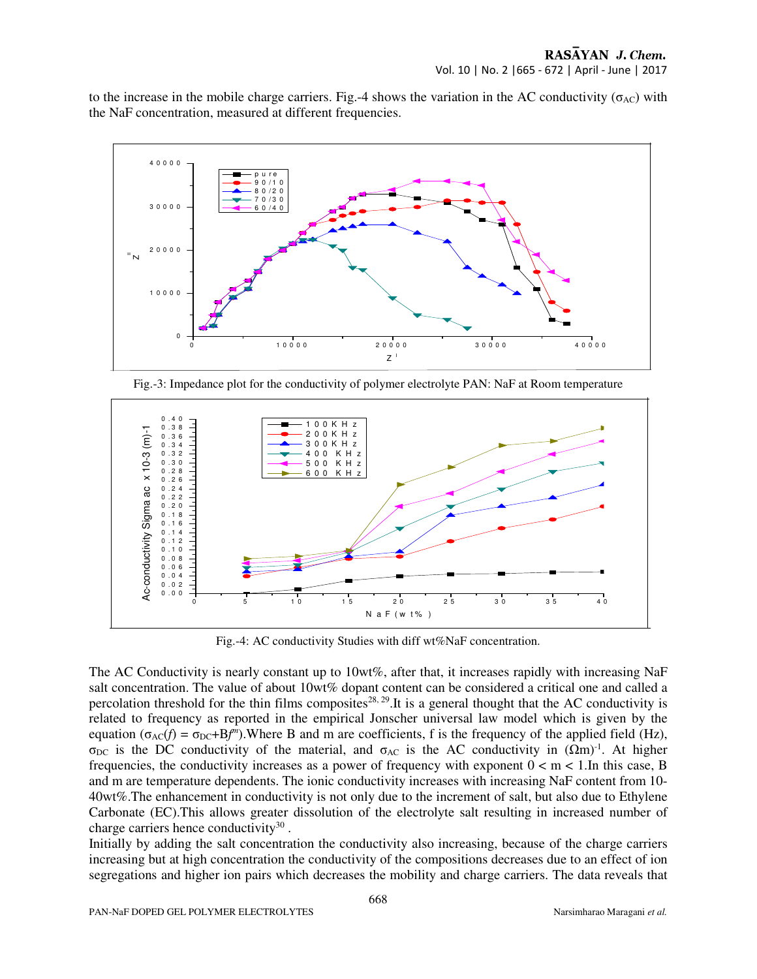to the increase in the mobile charge carriers. Fig.-4 shows the variation in the AC conductivity ( $\sigma_{AC}$ ) with the NaF concentration, measured at different frequencies.



Fig.-3: Impedance plot for the conductivity of polymer electrolyte PAN: NaF at Room temperature



Fig.-4: AC conductivity Studies with diff wt%NaF concentration.

The AC Conductivity is nearly constant up to 10wt%, after that, it increases rapidly with increasing NaF salt concentration. The value of about 10wt% dopant content can be considered a critical one and called a percolation threshold for the thin films composites<sup>28, 29</sup>. It is a general thought that the AC conductivity is related to frequency as reported in the empirical Jonscher universal law model which is given by the equation ( $\sigma_{AC}(f) = \sigma_{DC} + Bf^{(m)}$ ). Where B and m are coefficients, f is the frequency of the applied field (Hz), σ<sub>DC</sub> is the DC conductivity of the material, and σ<sub>AC</sub> is the AC conductivity in  $(Ωm)^{-1}$ . At higher frequencies, the conductivity increases as a power of frequency with exponent  $0 < m < 1$ . In this case, B and m are temperature dependents. The ionic conductivity increases with increasing NaF content from 10- 40wt%.The enhancement in conductivity is not only due to the increment of salt, but also due to Ethylene Carbonate (EC).This allows greater dissolution of the electrolyte salt resulting in increased number of charge carriers hence conductivity $30$ .

Initially by adding the salt concentration the conductivity also increasing, because of the charge carriers increasing but at high concentration the conductivity of the compositions decreases due to an effect of ion segregations and higher ion pairs which decreases the mobility and charge carriers. The data reveals that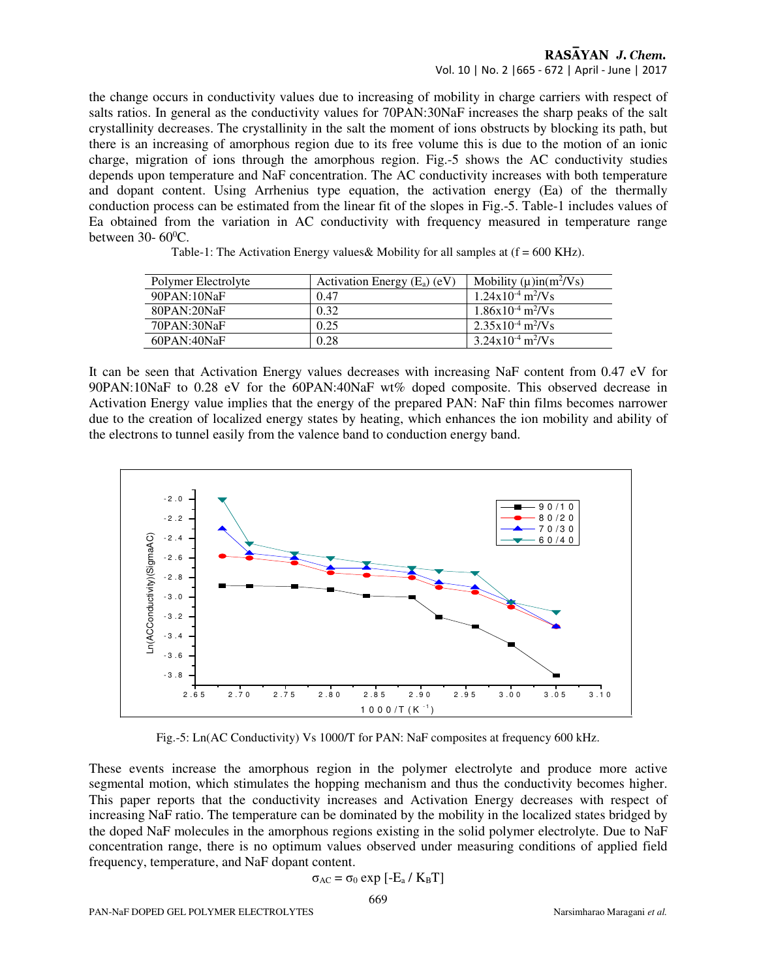#### RASAYAN J. Chem. Vol. 10 | No. 2 |665 - 672 | April - June | 2017

the change occurs in conductivity values due to increasing of mobility in charge carriers with respect of salts ratios. In general as the conductivity values for 70PAN:30NaF increases the sharp peaks of the salt crystallinity decreases. The crystallinity in the salt the moment of ions obstructs by blocking its path, but there is an increasing of amorphous region due to its free volume this is due to the motion of an ionic charge, migration of ions through the amorphous region. Fig.-5 shows the AC conductivity studies depends upon temperature and NaF concentration. The AC conductivity increases with both temperature and dopant content. Using Arrhenius type equation, the activation energy (Ea) of the thermally conduction process can be estimated from the linear fit of the slopes in Fig.-5. Table-1 includes values of Ea obtained from the variation in AC conductivity with frequency measured in temperature range between  $30-60^{\circ}$ C.

| Polymer Electrolyte | Activation Energy $(E_a)$ (eV) | Mobility $(\mu)$ in $(m^2/V_s)$   |
|---------------------|--------------------------------|-----------------------------------|
| 90PAN:10NaF         | 0.47                           | $1.24x10^{-4}$ m <sup>2</sup> /Vs |
| 80PAN:20NaF         | 0.32                           | $1.86x10^{-4}$ m <sup>2</sup> /Vs |
| 70PAN:30NaF         | 0.25                           | $2.35x10^{-4}$ m <sup>2</sup> /Vs |
| $60$ PAN: $40$ NaF  | 0.28                           | $3.24x10^{-4}$ m <sup>2</sup> /Vs |

Table-1: The Activation Energy values & Mobility for all samples at  $(f = 600 \text{ KHz})$ .

It can be seen that Activation Energy values decreases with increasing NaF content from 0.47 eV for 90PAN:10NaF to 0.28 eV for the 60PAN:40NaF wt% doped composite. This observed decrease in Activation Energy value implies that the energy of the prepared PAN: NaF thin films becomes narrower due to the creation of localized energy states by heating, which enhances the ion mobility and ability of the electrons to tunnel easily from the valence band to conduction energy band.



Fig.-5: Ln(AC Conductivity) Vs 1000/T for PAN: NaF composites at frequency 600 kHz.

These events increase the amorphous region in the polymer electrolyte and produce more active segmental motion, which stimulates the hopping mechanism and thus the conductivity becomes higher. This paper reports that the conductivity increases and Activation Energy decreases with respect of increasing NaF ratio. The temperature can be dominated by the mobility in the localized states bridged by the doped NaF molecules in the amorphous regions existing in the solid polymer electrolyte. Due to NaF concentration range, there is no optimum values observed under measuring conditions of applied field frequency, temperature, and NaF dopant content.

$$
\sigma_{AC} = \sigma_0 \exp\left[-E_a / K_B T\right]
$$
  
669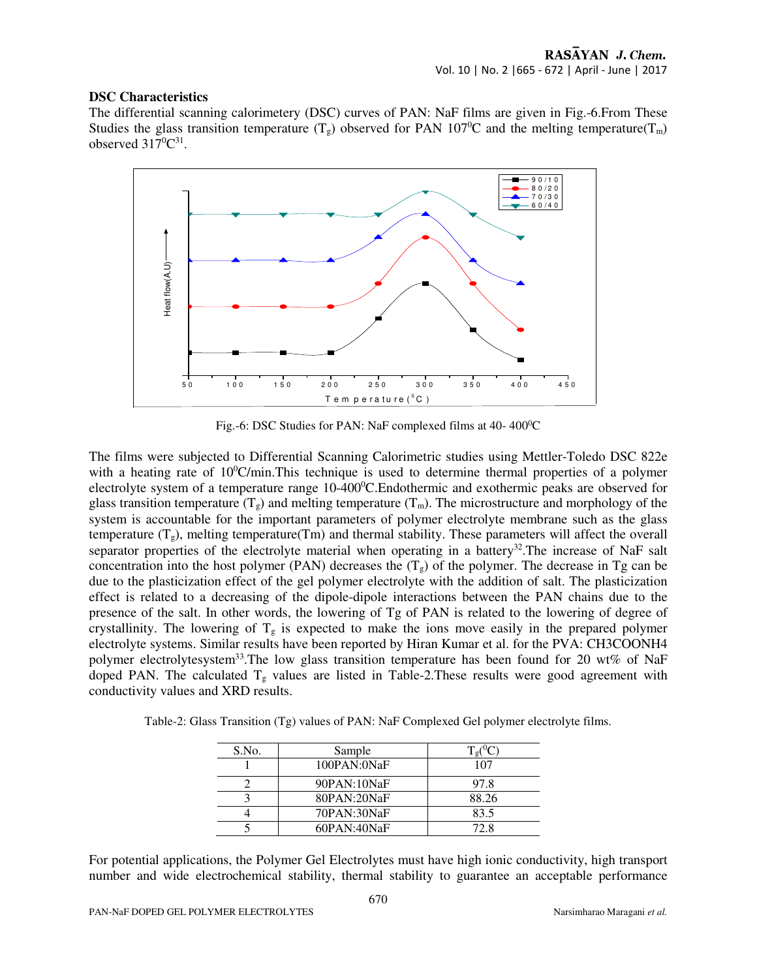#### **DSC Characteristics**

The differential scanning calorimetery (DSC) curves of PAN: NaF films are given in Fig.-6.From These Studies the glass transition temperature  $(T_g)$  observed for PAN 107<sup>0</sup>C and the melting temperature( $T_m$ ) observed  $317^0C^{31}$ .



Fig.-6: DSC Studies for PAN: NaF complexed films at 40-400°C

The films were subjected to Differential Scanning Calorimetric studies using Mettler-Toledo DSC 822e with a heating rate of  $10^{\circ}$ C/min.This technique is used to determine thermal properties of a polymer electrolyte system of a temperature range 10-400<sup>o</sup>C.Endothermic and exothermic peaks are observed for glass transition temperature  $(T_g)$  and melting temperature  $(T_m)$ . The microstructure and morphology of the system is accountable for the important parameters of polymer electrolyte membrane such as the glass temperature  $(T_g)$ , melting temperature(Tm) and thermal stability. These parameters will affect the overall separator properties of the electrolyte material when operating in a battery<sup>32</sup>. The increase of NaF salt concentration into the host polymer (PAN) decreases the  $(T_g)$  of the polymer. The decrease in Tg can be due to the plasticization effect of the gel polymer electrolyte with the addition of salt. The plasticization effect is related to a decreasing of the dipole-dipole interactions between the PAN chains due to the presence of the salt. In other words, the lowering of Tg of PAN is related to the lowering of degree of crystallinity. The lowering of  $T_g$  is expected to make the ions move easily in the prepared polymer electrolyte systems. Similar results have been reported by Hiran Kumar et al. for the PVA: CH3COONH4 polymer electrolytesystem<sup>33</sup>. The low glass transition temperature has been found for 20 wt% of NaF doped PAN. The calculated  $T<sub>g</sub>$  values are listed in Table-2. These results were good agreement with conductivity values and XRD results.

Table-2: Glass Transition (Tg) values of PAN: NaF Complexed Gel polymer electrolyte films.

| S.No. | Sample             | øι    |
|-------|--------------------|-------|
|       | $100$ PAN: $0$ NaF | 107   |
|       | 90PAN:10NaF        | 97.8  |
|       | 80PAN:20NaF        | 88.26 |
|       | 70PAN:30NaF        | 83.5  |
|       | $60$ PAN:40NaF     | 72. R |

For potential applications, the Polymer Gel Electrolytes must have high ionic conductivity, high transport number and wide electrochemical stability, thermal stability to guarantee an acceptable performance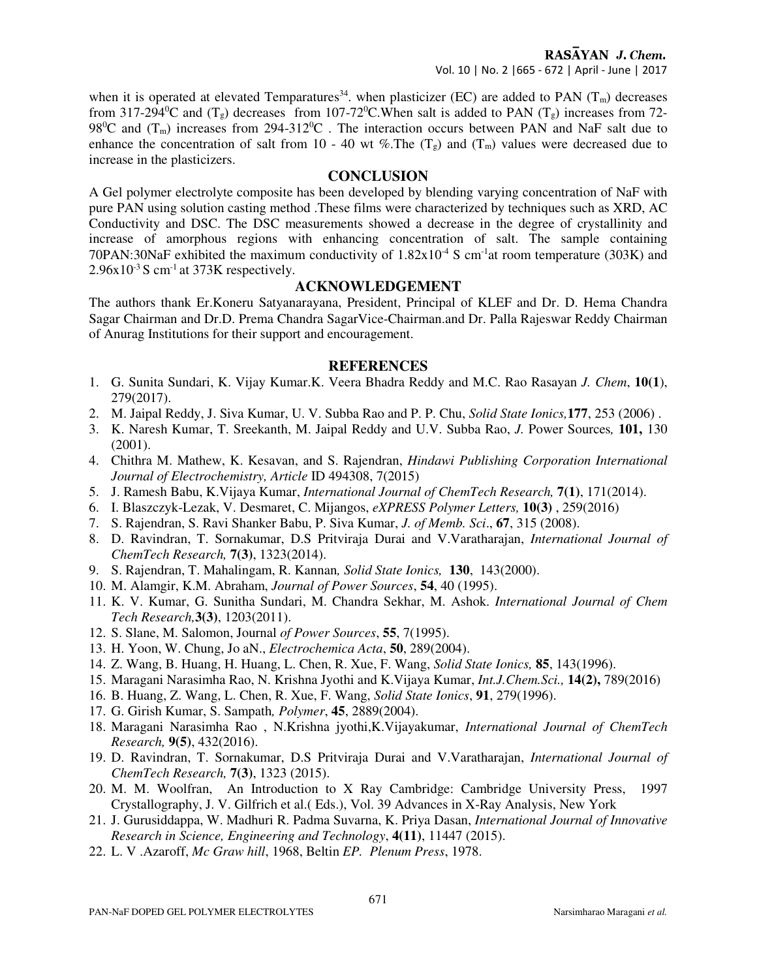when it is operated at elevated Temparatures<sup>34</sup>, when plasticizer (EC) are added to PAN  $(T_m)$  decreases from 317-294 °C and  $(T_g)$  decreases from 107-72 °C. When salt is added to PAN  $(T_g)$  increases from 72-98<sup>o</sup>C and  $(T_m)$  increases from 294-312<sup>o</sup>C. The interaction occurs between PAN and NaF salt due to enhance the concentration of salt from 10 - 40 wt %. The  $(T_g)$  and  $(T_m)$  values were decreased due to increase in the plasticizers.

## **CONCLUSION**

A Gel polymer electrolyte composite has been developed by blending varying concentration of NaF with pure PAN using solution casting method .These films were characterized by techniques such as XRD, AC Conductivity and DSC. The DSC measurements showed a decrease in the degree of crystallinity and increase of amorphous regions with enhancing concentration of salt. The sample containing 70PAN:30NaF exhibited the maximum conductivity of  $1.82 \times 10^{-4}$  S cm<sup>-1</sup>at room temperature (303K) and  $2.96x10^{-3}$  S cm<sup>-1</sup> at 373K respectively.

# **ACKNOWLEDGEMENT**

The authors thank Er.Koneru Satyanarayana, President, Principal of KLEF and Dr. D. Hema Chandra Sagar Chairman and Dr.D. Prema Chandra SagarVice-Chairman.and Dr. Palla Rajeswar Reddy Chairman of Anurag Institutions for their support and encouragement.

### **REFERENCES**

- 1. G. Sunita Sundari, K. Vijay Kumar.K. Veera Bhadra Reddy and M.C. Rao Rasayan *J. Chem*, **10(1**), 279(2017).
- 2. M. Jaipal Reddy, J. Siva Kumar, U. V. Subba Rao and P. P. Chu, *Solid State Ionics,***177**, 253 (2006) .
- 3. K. Naresh Kumar, T. Sreekanth, M. Jaipal Reddy and U.V. Subba Rao, *J.* Power Sources*,* **101,** 130 (2001).
- 4. Chithra M. Mathew, K. Kesavan, and S. Rajendran, *Hindawi Publishing Corporation International Journal of Electrochemistry, Article* ID 494308, 7(2015)
- 5. J. Ramesh Babu, K.Vijaya Kumar, *International Journal of ChemTech Research,* **7(1)**, 171(2014).
- 6. I. Blaszczyk-Lezak, V. Desmaret, C. Mijangos, *eXPRESS Polymer Letters,* **10(3)** , 259(2016)
- 7. S. Rajendran, S. Ravi Shanker Babu, P. Siva Kumar, *J. of Memb. Sci*., **67**, 315 (2008).
- 8. D. Ravindran, T. Sornakumar, D.S Pritviraja Durai and V.Varatharajan, *International Journal of ChemTech Research,* **7(3)**, 1323(2014).
- 9. S. Rajendran, T. Mahalingam, R. Kannan*, Solid State Ionics,* **130**, 143(2000).
- 10. M. Alamgir, K.M. Abraham, *Journal of Power Sources*, **54**, 40 (1995).
- 11. K. V. Kumar, G. Sunitha Sundari, M. Chandra Sekhar, M. Ashok. *International Journal of Chem Tech Research,***3(3)**, 1203(2011).
- 12. S. Slane, M. Salomon, Journal *of Power Sources*, **55**, 7(1995).
- 13. H. Yoon, W. Chung, Jo aN., *Electrochemica Acta*, **50**, 289(2004).
- 14. Z. Wang, B. Huang, H. Huang, L. Chen, R. Xue, F. Wang, *Solid State Ionics,* **85**, 143(1996).
- 15. Maragani Narasimha Rao, N. Krishna Jyothi and K.Vijaya Kumar, *Int.J.Chem.Sci.,* **14(2),** 789(2016)
- 16. B. Huang, Z. Wang, L. Chen, R. Xue, F. Wang, *Solid State Ionics*, **91**, 279(1996).
- 17. G. Girish Kumar, S. Sampath*, Polymer*, **45**, 2889(2004).
- 18. Maragani Narasimha Rao , N.Krishna jyothi,K.Vijayakumar, *International Journal of ChemTech Research,* **9(5)**, 432(2016).
- 19. D. Ravindran, T. Sornakumar, D.S Pritviraja Durai and V.Varatharajan, *International Journal of ChemTech Research,* **7(3)**, 1323 (2015).
- 20. M. M. Woolfran, An Introduction to X Ray Cambridge: Cambridge University Press, 1997 Crystallography, J. V. Gilfrich et al.( Eds.), Vol. 39 Advances in X-Ray Analysis, New York
- 21. J. Gurusiddappa, W. Madhuri R. Padma Suvarna, K. Priya Dasan, *International Journal of Innovative Research in Science, Engineering and Technology*, **4(11)**, 11447 (2015).
- 22. L. V .Azaroff, *Mc Graw hill*, 1968, Beltin *EP. Plenum Press*, 1978.